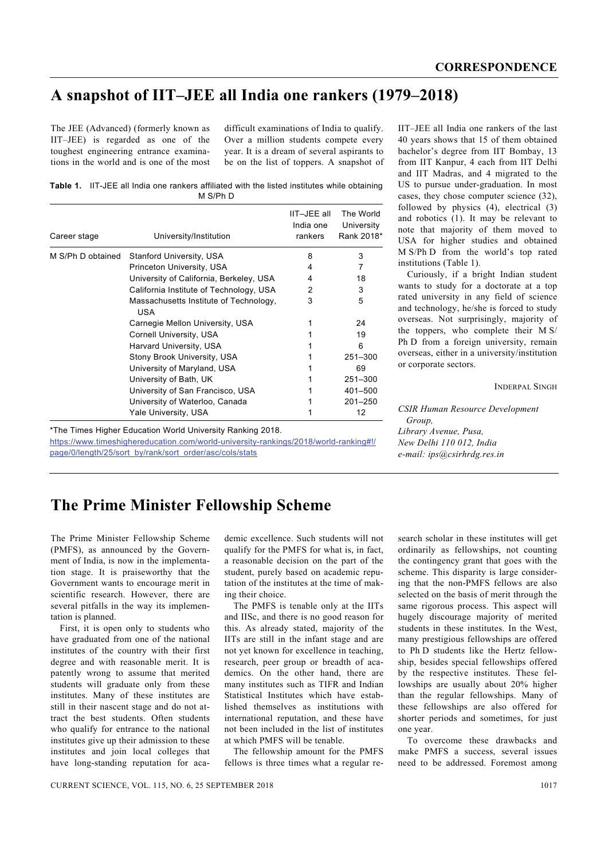## **A snapshot of IIT–JEE all India one rankers (1979–2018)**

The JEE (Advanced) (formerly known as IIT–JEE) is regarded as one of the toughest engineering entrance examinations in the world and is one of the most

difficult examinations of India to qualify. Over a million students compete every year. It is a dream of several aspirants to be on the list of toppers. A snapshot of

**Table 1.** IIT-JEE all India one rankers affiliated with the listed institutes while obtaining M S/Ph D

| Career stage      | University/Institution                               | IIT-JEE all<br>India one<br>rankers | The World<br>University<br>Rank 2018* |
|-------------------|------------------------------------------------------|-------------------------------------|---------------------------------------|
| M S/Ph D obtained | <b>Stanford University, USA</b>                      | 8                                   | 3                                     |
|                   | Princeton University, USA                            | 4                                   | 7                                     |
|                   | University of California, Berkeley, USA              | 4                                   | 18                                    |
|                   | California Institute of Technology, USA              | 2                                   | 3                                     |
|                   | Massachusetts Institute of Technology,<br><b>USA</b> | 3                                   | 5                                     |
|                   | Carnegie Mellon University, USA                      |                                     | 24                                    |
|                   | Cornell University, USA                              |                                     | 19                                    |
|                   | Harvard University, USA                              |                                     | 6                                     |
|                   | Stony Brook University, USA                          |                                     | $251 - 300$                           |
|                   | University of Maryland, USA                          |                                     | 69                                    |
|                   | University of Bath, UK                               |                                     | $251 - 300$                           |
|                   | University of San Francisco, USA                     |                                     | 401-500                               |
|                   | University of Waterloo, Canada                       |                                     | $201 - 250$                           |
|                   | Yale University, USA                                 |                                     | 12                                    |

\*The Times Higher Education World University Ranking 2018.

https://www.timeshighereducation.com/world-university-rankings/2018/world-ranking#!/ page/0/length/25/sort\_by/rank/sort\_order/asc/cols/stats

IIT–JEE all India one rankers of the last 40 years shows that 15 of them obtained bachelor's degree from IIT Bombay, 13 from IIT Kanpur, 4 each from IIT Delhi and IIT Madras, and 4 migrated to the US to pursue under-graduation. In most cases, they chose computer science (32), followed by physics (4), electrical (3) and robotics (1). It may be relevant to note that majority of them moved to USA for higher studies and obtained M S/Ph D from the world's top rated institutions (Table 1).

 Curiously, if a bright Indian student wants to study for a doctorate at a top rated university in any field of science and technology, he/she is forced to study overseas. Not surprisingly, majority of the toppers, who complete their M S/ Ph D from a foreign university, remain overseas, either in a university/institution or corporate sectors.

INDERPAL SINGH

*CSIR Human Resource Development Group, Library Avenue, Pusa, New Delhi 110 012, India e-mail: ips@csirhrdg.res.in* 

## **The Prime Minister Fellowship Scheme**

The Prime Minister Fellowship Scheme (PMFS), as announced by the Government of India, is now in the implementation stage. It is praiseworthy that the Government wants to encourage merit in scientific research. However, there are several pitfalls in the way its implementation is planned.

 First, it is open only to students who have graduated from one of the national institutes of the country with their first degree and with reasonable merit. It is patently wrong to assume that merited students will graduate only from these institutes. Many of these institutes are still in their nascent stage and do not attract the best students. Often students who qualify for entrance to the national institutes give up their admission to these institutes and join local colleges that have long-standing reputation for aca-

demic excellence. Such students will not qualify for the PMFS for what is, in fact, a reasonable decision on the part of the student, purely based on academic reputation of the institutes at the time of making their choice.

 The PMFS is tenable only at the IITs and IISc, and there is no good reason for this. As already stated, majority of the IITs are still in the infant stage and are not yet known for excellence in teaching, research, peer group or breadth of academics. On the other hand, there are many institutes such as TIFR and Indian Statistical Institutes which have established themselves as institutions with international reputation, and these have not been included in the list of institutes at which PMFS will be tenable.

 The fellowship amount for the PMFS fellows is three times what a regular research scholar in these institutes will get ordinarily as fellowships, not counting the contingency grant that goes with the scheme. This disparity is large considering that the non-PMFS fellows are also selected on the basis of merit through the same rigorous process. This aspect will hugely discourage majority of merited students in these institutes. In the West, many prestigious fellowships are offered to Ph D students like the Hertz fellowship, besides special fellowships offered by the respective institutes. These fellowships are usually about 20% higher than the regular fellowships. Many of these fellowships are also offered for shorter periods and sometimes, for just one year.

 To overcome these drawbacks and make PMFS a success, several issues need to be addressed. Foremost among